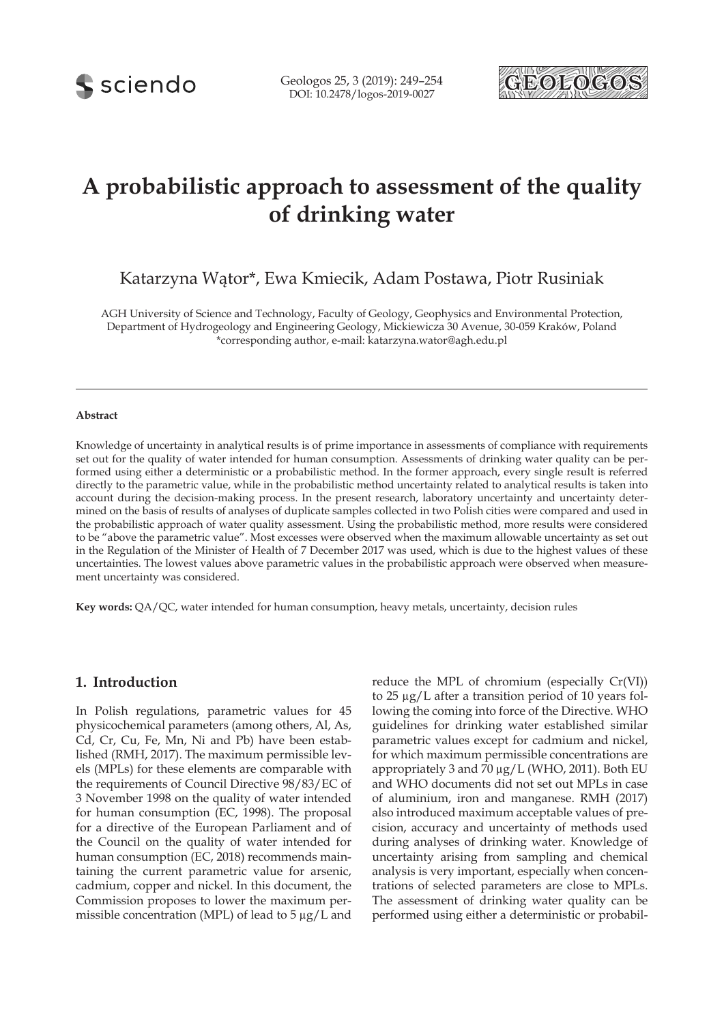

# **A probabilistic approach to assessment of the quality of drinking water**

Katarzyna Wątor\*, Ewa Kmiecik, Adam Postawa, Piotr Rusiniak

AGH University of Science and Technology, Faculty of Geology, Geophysics and Environmental Protection, Department of Hydrogeology and Engineering Geology, Mickiewicza 30 Avenue, 30-059 Kraków, Poland \*corresponding author, e-mail: katarzyna.wator@agh.edu.pl

#### **Abstract**

Knowledge of uncertainty in analytical results is of prime importance in assessments of compliance with requirements set out for the quality of water intended for human consumption. Assessments of drinking water quality can be performed using either a deterministic or a probabilistic method. In the former approach, every single result is referred directly to the parametric value, while in the probabilistic method uncertainty related to analytical results is taken into account during the decision-making process. In the present research, laboratory uncertainty and uncertainty determined on the basis of results of analyses of duplicate samples collected in two Polish cities were compared and used in the probabilistic approach of water quality assessment. Using the probabilistic method, more results were considered to be "above the parametric value". Most excesses were observed when the maximum allowable uncertainty as set out in the Regulation of the Minister of Health of 7 December 2017 was used, which is due to the highest values of these uncertainties. The lowest values above parametric values in the probabilistic approach were observed when measurement uncertainty was considered.

**Key words:** QA/QC, water intended for human consumption, heavy metals, uncertainty, decision rules

#### **1. Introduction**

In Polish regulations, parametric values for 45 physicochemical parameters (among others, Al, As, Cd, Cr, Cu, Fe, Mn, Ni and Pb) have been established (RMH, 2017). The maximum permissible levels (MPLs) for these elements are comparable with the requirements of Council Directive 98/83/EC of 3 November 1998 on the quality of water intended for human consumption (EC, 1998). The proposal for a directive of the European Parliament and of the Council on the quality of water intended for human consumption (EC, 2018) recommends maintaining the current parametric value for arsenic, cadmium, copper and nickel. In this document, the Commission proposes to lower the maximum permissible concentration (MPL) of lead to 5 µg/L and reduce the MPL of chromium (especially Cr(VI)) to 25 µg/L after a transition period of 10 years following the coming into force of the Directive. WHO guidelines for drinking water established similar parametric values except for cadmium and nickel, for which maximum permissible concentrations are appropriately 3 and 70  $\mu$ g/L (WHO, 2011). Both EU and WHO documents did not set out MPLs in case of aluminium, iron and manganese. RMH (2017) also introduced maximum acceptable values of precision, accuracy and uncertainty of methods used during analyses of drinking water. Knowledge of uncertainty arising from sampling and chemical analysis is very important, especially when concentrations of selected parameters are close to MPLs. The assessment of drinking water quality can be performed using either a deterministic or probabil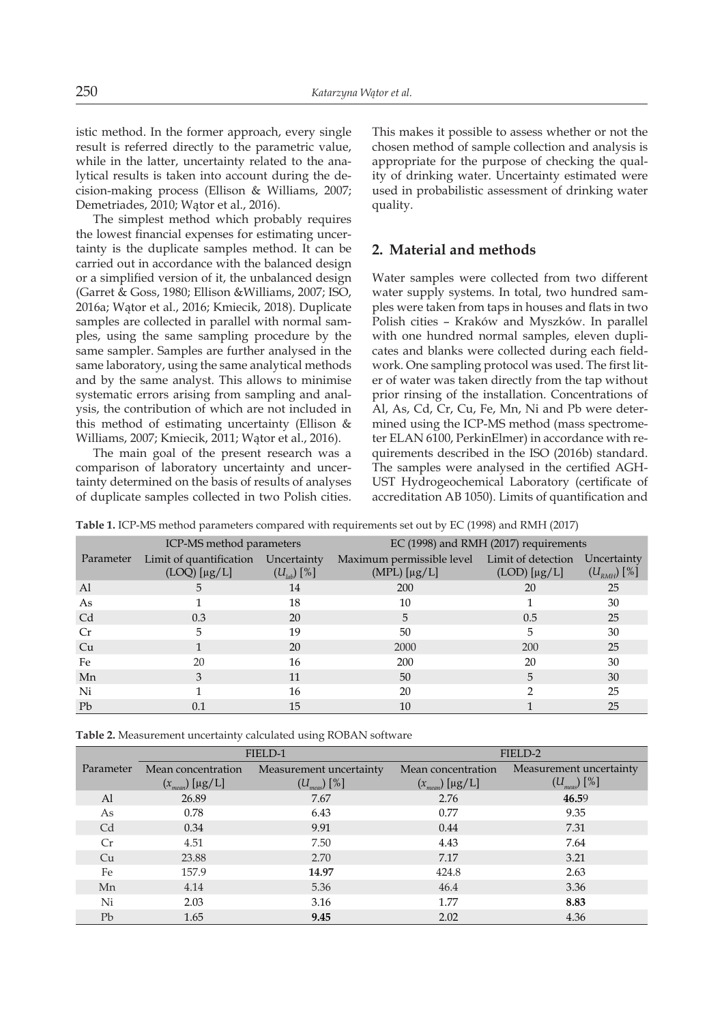istic method. In the former approach, every single result is referred directly to the parametric value, while in the latter, uncertainty related to the analytical results is taken into account during the decision-making process (Ellison & Williams, 2007; Demetriades, 2010; Wątor et al., 2016).

The simplest method which probably requires the lowest financial expenses for estimating uncertainty is the duplicate samples method. It can be carried out in accordance with the balanced design or a simplified version of it, the unbalanced design (Garret & Goss, 1980; Ellison &Williams, 2007; ISO, 2016a; Wątor et al., 2016; Kmiecik, 2018). Duplicate samples are collected in parallel with normal samples, using the same sampling procedure by the same sampler. Samples are further analysed in the same laboratory, using the same analytical methods and by the same analyst. This allows to minimise systematic errors arising from sampling and analysis, the contribution of which are not included in this method of estimating uncertainty (Ellison & Williams, 2007; Kmiecik, 2011; Wątor et al., 2016).

The main goal of the present research was a comparison of laboratory uncertainty and uncertainty determined on the basis of results of analyses of duplicate samples collected in two Polish cities.

This makes it possible to assess whether or not the chosen method of sample collection and analysis is appropriate for the purpose of checking the quality of drinking water. Uncertainty estimated were used in probabilistic assessment of drinking water quality.

# **2. Material and methods**

Water samples were collected from two different water supply systems. In total, two hundred samples were taken from taps in houses and flats in two Polish cities – Kraków and Myszków. In parallel with one hundred normal samples, eleven duplicates and blanks were collected during each fieldwork. One sampling protocol was used. The first liter of water was taken directly from the tap without prior rinsing of the installation. Concentrations of Al, As, Cd, Cr, Cu, Fe, Mn, Ni and Pb were determined using the ICP-MS method (mass spectrometer ELAN 6100, PerkinElmer) in accordance with requirements described in the ISO (2016b) standard. The samples were analysed in the certified AGH-UST Hydrogeochemical Laboratory (certificate of accreditation AB 1050). Limits of quantification and

**Table 1.** ICP-MS method parameters compared with requirements set out by EC (1998) and RMH (2017)

|           | ICP-MS method parameters            |                      | $EC$ (1998) and RMH (2017) requirements      |                     |                    |  |
|-----------|-------------------------------------|----------------------|----------------------------------------------|---------------------|--------------------|--|
| Parameter | Limit of quantification Uncertainty |                      | Maximum permissible level Limit of detection |                     | Uncertainty        |  |
|           | $(LOQ)$ $[\mu g/L]$                 | $(U_{\mu\nu})\ [\%]$ | $(MPL)$ [µg/L]                               | $(LOD)$ $[\mu g/L]$ | $(U_{_{RMH}})$ [%] |  |
| Al        | 5                                   | 14                   | 200                                          | 20                  | 25                 |  |
| As        |                                     | 18                   | 10                                           |                     | 30                 |  |
| Cd        | 0.3                                 | 20                   | 5                                            | 0.5                 | 25                 |  |
| Cr        | 5                                   | 19                   | 50                                           | 5                   | 30                 |  |
| Cu        |                                     | 20                   | 2000                                         | 200                 | 25                 |  |
| Fe        | 20                                  | 16                   | 200                                          | 20                  | 30                 |  |
| Mn        | 3                                   | 11                   | 50                                           | 5                   | 30                 |  |
| Ni        |                                     | 16                   | 20                                           |                     | 25                 |  |
| Pb        | 0.1                                 | 15                   | 10                                           |                     | 25                 |  |

**Table 2.** Measurement uncertainty calculated using ROBAN software

|           |                     | FIELD-1                 | FIELD-2             |                         |  |
|-----------|---------------------|-------------------------|---------------------|-------------------------|--|
| Parameter | Mean concentration  | Measurement uncertainty | Mean concentration  | Measurement uncertainty |  |
|           | $(x_{mean})$ [µg/L] | $(U_{meas})$ [%]        | $(x_{mean})$ [µg/L] | $(U_{meas})$ [%]        |  |
| Al        | 26.89               | 7.67                    | 2.76                | 46.59                   |  |
| As        | 0.78                | 6.43                    | 0.77                | 9.35                    |  |
| Cd        | 0.34                | 9.91                    | 0.44                | 7.31                    |  |
| Cr        | 4.51                | 7.50                    | 4.43                | 7.64                    |  |
| Cu        | 23.88               | 2.70                    | 7.17                | 3.21                    |  |
| Fe        | 157.9               | 14.97                   | 424.8               | 2.63                    |  |
| Mn        | 4.14                | 5.36                    | 46.4                | 3.36                    |  |
| Ni        | 2.03                | 3.16                    | 1.77                | 8.83                    |  |
| Pb        | 1.65                | 9.45                    | 2.02                | 4.36                    |  |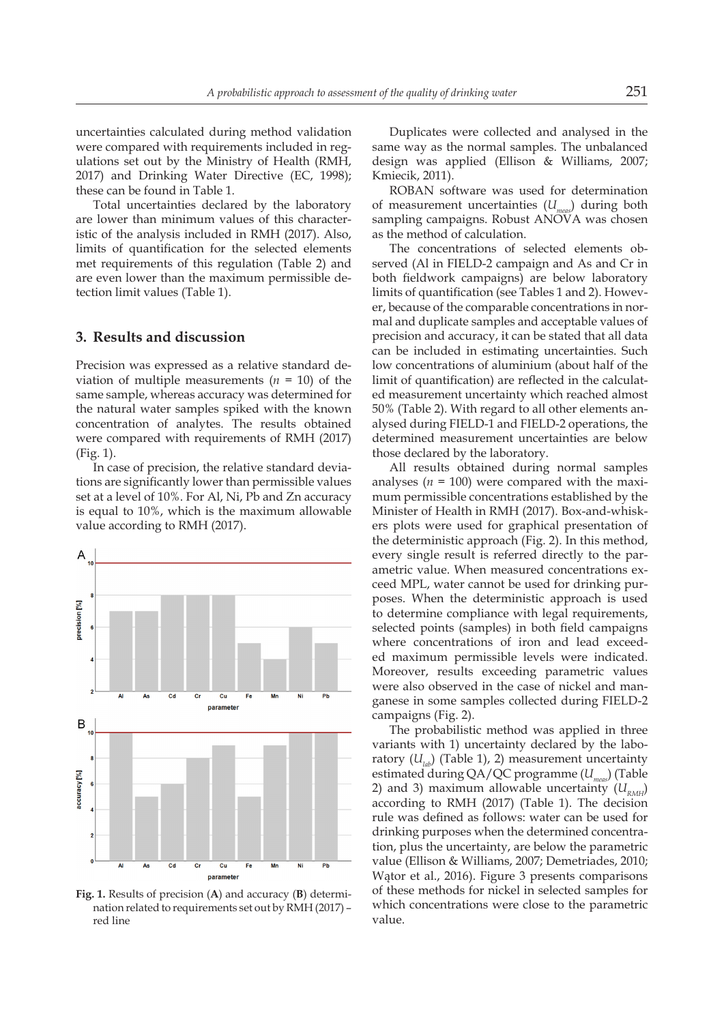uncertainties calculated during method validation were compared with requirements included in regulations set out by the Ministry of Health (RMH, 2017) and Drinking Water Directive (EC, 1998); these can be found in Table 1.

Total uncertainties declared by the laboratory are lower than minimum values of this characteristic of the analysis included in RMH (2017). Also, limits of quantification for the selected elements met requirements of this regulation (Table 2) and are even lower than the maximum permissible detection limit values (Table 1).

#### **3. Results and discussion**

Precision was expressed as a relative standard deviation of multiple measurements  $(n = 10)$  of the same sample, whereas accuracy was determined for the natural water samples spiked with the known concentration of analytes. The results obtained were compared with requirements of RMH (2017) (Fig. 1).

In case of precision, the relative standard deviations are significantly lower than permissible values set at a level of 10%. For Al, Ni, Pb and Zn accuracy is equal to 10%, which is the maximum allowable value according to RMH (2017).



**Fig. 1.** Results of precision (**A**) and accuracy (**B**) determination related to requirements set out by RMH (2017) – red line

Duplicates were collected and analysed in the same way as the normal samples. The unbalanced design was applied (Ellison & Williams, 2007; Kmiecik, 2011).

ROBAN software was used for determination of measurement uncertainties (*Umeas*) during both sampling campaigns. Robust ANOVA was chosen as the method of calculation.

The concentrations of selected elements observed (Al in FIELD-2 campaign and As and Cr in both fieldwork campaigns) are below laboratory limits of quantification (see Tables 1 and 2). However, because of the comparable concentrations in normal and duplicate samples and acceptable values of precision and accuracy, it can be stated that all data can be included in estimating uncertainties. Such low concentrations of aluminium (about half of the limit of quantification) are reflected in the calculated measurement uncertainty which reached almost 50% (Table 2). With regard to all other elements analysed during FIELD-1 and FIELD-2 operations, the determined measurement uncertainties are below those declared by the laboratory.

All results obtained during normal samples analyses ( $n = 100$ ) were compared with the maximum permissible concentrations established by the Minister of Health in RMH (2017). Box-and-whiskers plots were used for graphical presentation of the deterministic approach (Fig. 2). In this method, every single result is referred directly to the parametric value. When measured concentrations exceed MPL, water cannot be used for drinking purposes. When the deterministic approach is used to determine compliance with legal requirements, selected points (samples) in both field campaigns where concentrations of iron and lead exceeded maximum permissible levels were indicated. Moreover, results exceeding parametric values were also observed in the case of nickel and manganese in some samples collected during FIELD-2 campaigns (Fig. 2).

The probabilistic method was applied in three variants with 1) uncertainty declared by the laboratory  $(U_{\mu\nu})$  (Table 1), 2) measurement uncertainty estimated during QA/QC programme (*Umeas*) (Table 2) and 3) maximum allowable uncertainty  $(U_{RMH})$ according to RMH (2017) (Table 1). The decision rule was defined as follows: water can be used for drinking purposes when the determined concentration, plus the uncertainty, are below the parametric value (Ellison & Williams, 2007; Demetriades, 2010; Wątor et al., 2016). Figure 3 presents comparisons of these methods for nickel in selected samples for which concentrations were close to the parametric value.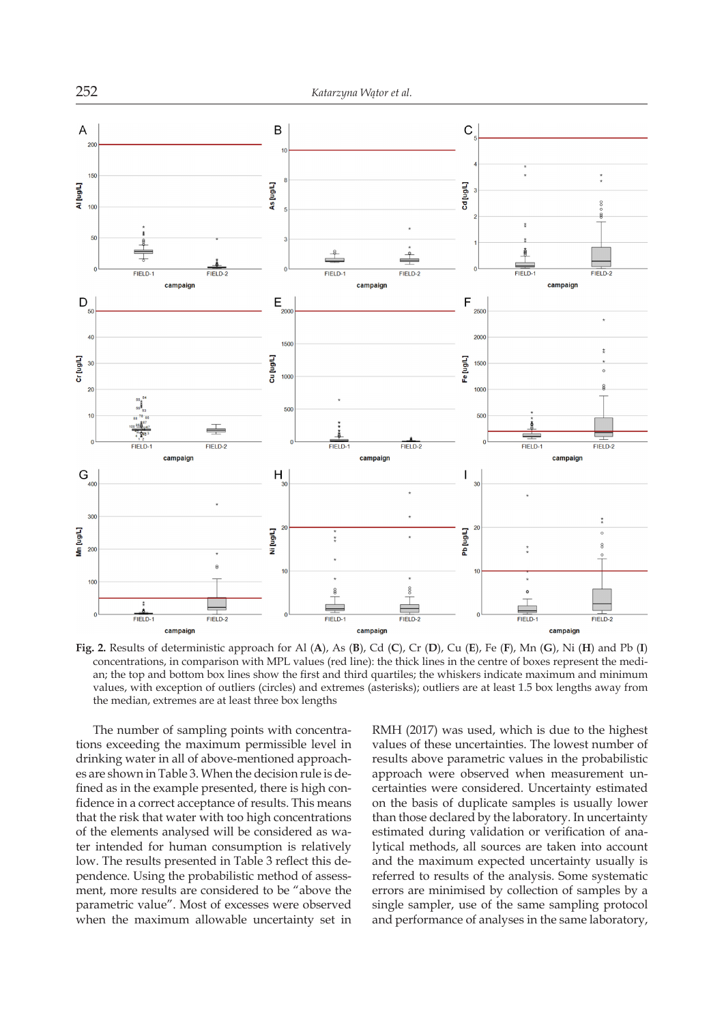

**Fig. 2.** Results of deterministic approach for Al (**A**), As (**B**), Cd (**C**), Cr (**D**), Cu (**E**), Fe (**F**), Mn (**G**), Ni (**H**) and Pb (**I**) concentrations, in comparison with MPL values (red line): the thick lines in the centre of boxes represent the median; the top and bottom box lines show the first and third quartiles; the whiskers indicate maximum and minimum values, with exception of outliers (circles) and extremes (asterisks); outliers are at least 1.5 box lengths away from the median, extremes are at least three box lengths

The number of sampling points with concentrations exceeding the maximum permissible level in drinking water in all of above-mentioned approaches are shown in Table 3. When the decision rule is defined as in the example presented, there is high confidence in a correct acceptance of results. This means that the risk that water with too high concentrations of the elements analysed will be considered as water intended for human consumption is relatively low. The results presented in Table 3 reflect this dependence. Using the probabilistic method of assessment, more results are considered to be "above the parametric value". Most of excesses were observed when the maximum allowable uncertainty set in RMH (2017) was used, which is due to the highest values of these uncertainties. The lowest number of results above parametric values in the probabilistic approach were observed when measurement uncertainties were considered. Uncertainty estimated on the basis of duplicate samples is usually lower than those declared by the laboratory. In uncertainty estimated during validation or verification of analytical methods, all sources are taken into account and the maximum expected uncertainty usually is referred to results of the analysis. Some systematic errors are minimised by collection of samples by a single sampler, use of the same sampling protocol and performance of analyses in the same laboratory,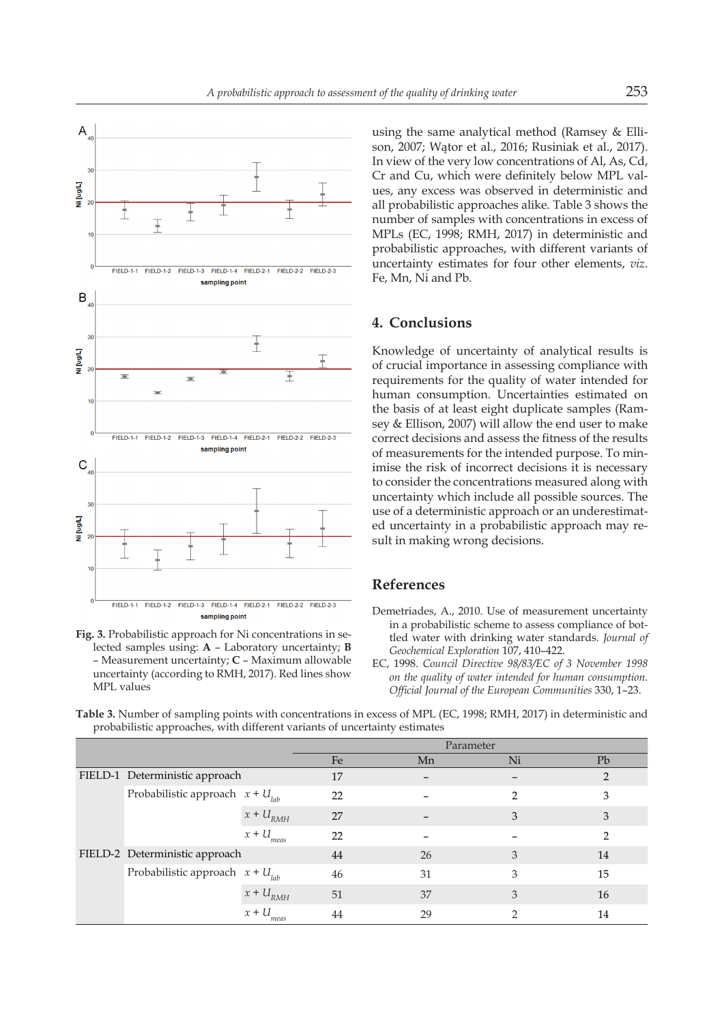



using the same analytical method (Ramsey & Ellison, 2007; Wątor et al., 2016; Rusiniak et al., 2017). In view of the very low concentrations of Al, As, Cd, Cr and Cu, which were definitely below MPL values, any excess was observed in deterministic and all probabilistic approaches alike. Table 3 shows the number of samples with concentrations in excess of MPLs (EC, 1998; RMH, 2017) in deterministic and probabilistic approaches, with different variants of uncertainty estimates for four other elements, *viz*. Fe, Mn, Ni and Pb.

### **4. Conclusions**

Knowledge of uncertainty of analytical results is of crucial importance in assessing compliance with requirements for the quality of water intended for human consumption. Uncertainties estimated on the basis of at least eight duplicate samples (Ramsey & Ellison, 2007) will allow the end user to make correct decisions and assess the fitness of the results of measurements for the intended purpose. To minimise the risk of incorrect decisions it is necessary to consider the concentrations measured along with uncertainty which include all possible sources. The use of a deterministic approach or an underestimated uncertainty in a probabilistic approach may result in making wrong decisions.

# **References**

- Demetriades, A., 2010. Use of measurement uncertainty in a probabilistic scheme to assess compliance of bottled water with drinking water standards. *Journal of Geochemical Exploration* 107, 410–422.
- EC, 1998. *Council Directive 98/83/EC of 3 November 1998 on the quality of water intended for human consumption. Official Journal of the European Communities* 330, 1–23.

**Table 3.** Number of sampling points with concentrations in excess of MPL (EC, 1998; RMH, 2017) in deterministic and probabilistic approaches, with different variants of uncertainty estimates

|  |                                      |                 | Parameter |    |               |               |
|--|--------------------------------------|-----------------|-----------|----|---------------|---------------|
|  |                                      |                 | Fe        | Mn | Ni            | Pb            |
|  | FIELD-1 Deterministic approach       |                 | 17        |    |               | $\mathcal{P}$ |
|  | Probabilistic approach $x + U_{lab}$ |                 | 22        |    | $\mathcal{D}$ | 3             |
|  |                                      | $x + U_{RMH}$   | 27        |    | 3             | 3             |
|  |                                      | $x + U_{meas}$  | 22        |    |               | $\mathcal{P}$ |
|  | FIELD-2 Deterministic approach       |                 | 44        | 26 | 3             | 14            |
|  | Probabilistic approach $x + U_{lab}$ |                 | 46        | 31 | 3             | 15            |
|  |                                      | $x + U_{RMH}$   | 51        | 37 | 3             | 16            |
|  |                                      | $x + U$<br>meas | 44        | 29 | ∍             | 14            |